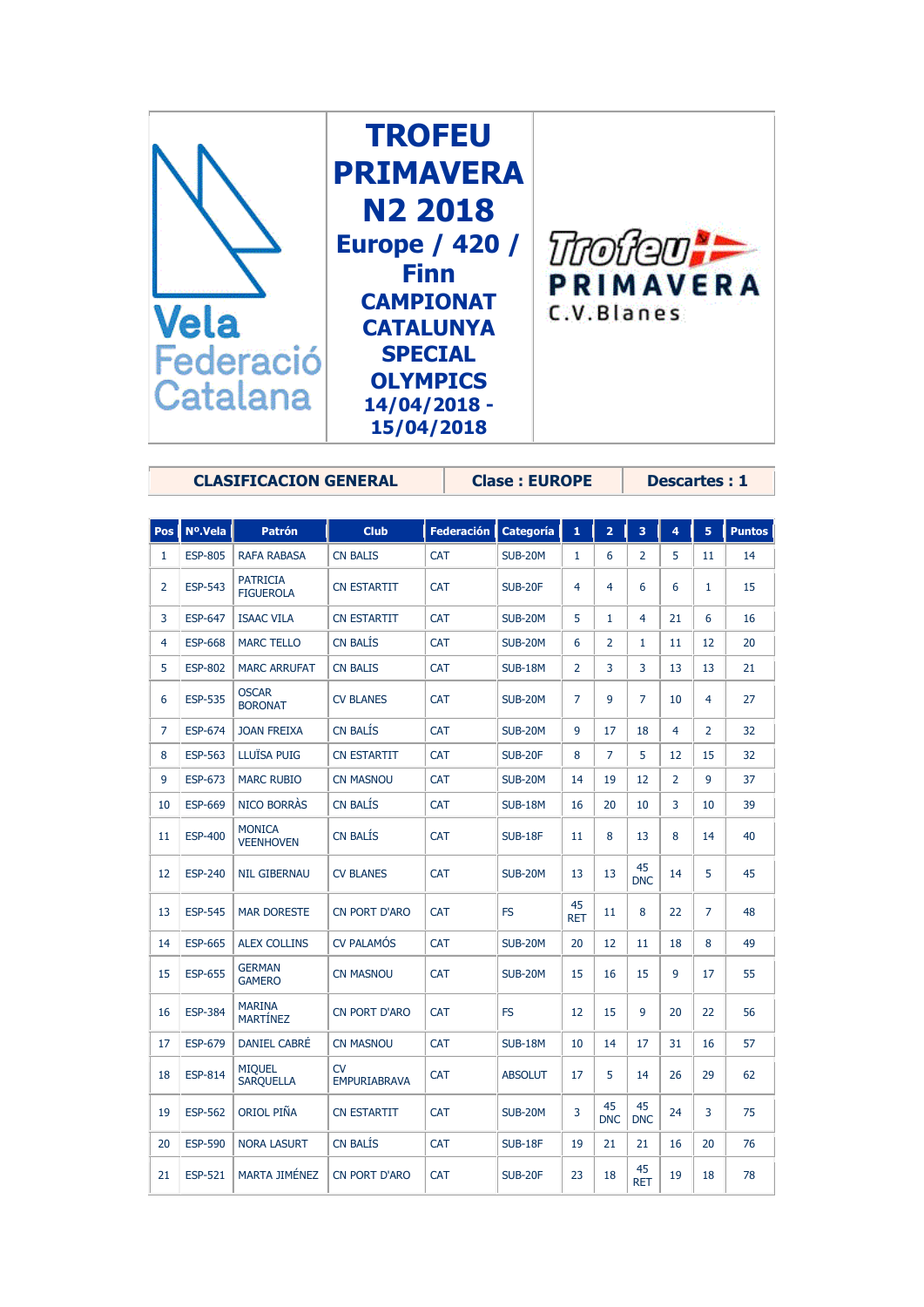

**CLASIFICACION GENERAL Clase : EUROPE Descartes : 1**

| <b>Pos</b>     | Nº.Vela        | <b>Patrón</b>                       | <b>Club</b>               | <b>Federación</b> | <b>Categoría</b> | 1                | $\overline{2}$   | 3                | 4              | 5              | <b>Puntos</b> |
|----------------|----------------|-------------------------------------|---------------------------|-------------------|------------------|------------------|------------------|------------------|----------------|----------------|---------------|
| $\mathbf{1}$   | <b>ESP-805</b> | <b>RAFA RABASA</b>                  | <b>CN BALIS</b>           | <b>CAT</b>        | <b>SUB-20M</b>   | 1                | 6                | $\overline{2}$   | 5              | 11             | 14            |
| $\overline{2}$ | <b>ESP-543</b> | <b>PATRICIA</b><br><b>FIGUEROLA</b> | <b>CN ESTARTIT</b>        | <b>CAT</b>        | <b>SUB-20F</b>   | 4                | 4                | 6                | 6              | 1              | 15            |
| 3              | <b>ESP-647</b> | <b>ISAAC VILA</b>                   | <b>CN ESTARTIT</b>        | CAT               | <b>SUB-20M</b>   | 5                | 1                | 4                | 21             | 6              | 16            |
| $\overline{4}$ | <b>ESP-668</b> | <b>MARC TELLO</b>                   | <b>CN BALÍS</b>           | CAT               | <b>SUB-20M</b>   | 6                | $\overline{2}$   | $\mathbf{1}$     | 11             | 12             | 20            |
| 5              | <b>ESP-802</b> | <b>MARC ARRUFAT</b>                 | <b>CN BALIS</b>           | <b>CAT</b>        | <b>SUB-18M</b>   | $\overline{2}$   | 3                | 3                | 13             | 13             | 21            |
| 6              | <b>ESP-535</b> | <b>OSCAR</b><br><b>BORONAT</b>      | <b>CV BLANES</b>          | <b>CAT</b>        | <b>SUB-20M</b>   | $\overline{7}$   | 9                | $\overline{7}$   | 10             | $\overline{4}$ | 27            |
| 7              | <b>ESP-674</b> | <b>JOAN FREIXA</b>                  | <b>CN BALIS</b>           | <b>CAT</b>        | <b>SUB-20M</b>   | 9                | 17               | 18               | 4              | $\overline{2}$ | 32            |
| 8              | <b>ESP-563</b> | LLUÏSA PUIG                         | <b>CN ESTARTIT</b>        | <b>CAT</b>        | <b>SUB-20F</b>   | 8                | 7                | 5                | 12             | 15             | 32            |
| 9              | <b>ESP-673</b> | <b>MARC RUBIO</b>                   | <b>CN MASNOU</b>          | <b>CAT</b>        | <b>SUB-20M</b>   | 14               | 19               | 12               | $\overline{2}$ | 9              | 37            |
| 10             | <b>ESP-669</b> | NICO BORRAS                         | <b>CN BALIS</b>           | <b>CAT</b>        | <b>SUB-18M</b>   | 16               | 20               | 10               | 3              | 10             | 39            |
| 11             | <b>ESP-400</b> | <b>MONICA</b><br><b>VEENHOVEN</b>   | <b>CN BALÍS</b>           | <b>CAT</b>        | <b>SUB-18F</b>   | 11               | 8                | 13               | 8              | 14             | 40            |
| 12             | <b>ESP-240</b> | <b>NIL GIBERNAU</b>                 | <b>CV BLANES</b>          | <b>CAT</b>        | <b>SUB-20M</b>   | 13               | 13               | 45<br><b>DNC</b> | 14             | 5              | 45            |
| 13             | <b>ESP-545</b> | <b>MAR DORESTE</b>                  | <b>CN PORT D'ARO</b>      | <b>CAT</b>        | <b>FS</b>        | 45<br><b>RET</b> | 11               | 8                | 22             | 7              | 48            |
| 14             | <b>ESP-665</b> | <b>ALEX COLLINS</b>                 | <b>CV PALAMÓS</b>         | <b>CAT</b>        | <b>SUB-20M</b>   | 20               | 12               | 11               | 18             | 8              | 49            |
| 15             | <b>ESP-655</b> | <b>GERMAN</b><br><b>GAMERO</b>      | <b>CN MASNOU</b>          | CAT               | <b>SUB-20M</b>   | 15               | 16               | 15               | 9              | 17             | 55            |
| 16             | <b>ESP-384</b> | <b>MARINA</b><br><b>MARTÍNEZ</b>    | CN PORT D'ARO             | <b>CAT</b>        | <b>FS</b>        | 12               | 15               | 9                | 20             | 22             | 56            |
| 17             | <b>ESP-679</b> | DANIEL CABRÉ                        | <b>CN MASNOU</b>          | <b>CAT</b>        | <b>SUB-18M</b>   | 10               | 14               | 17               | 31             | 16             | 57            |
| 18             | <b>ESP-814</b> | <b>MIQUEL</b><br><b>SARQUELLA</b>   | CV<br><b>EMPURIABRAVA</b> | <b>CAT</b>        | <b>ABSOLUT</b>   | 17               | 5                | 14               | 26             | 29             | 62            |
| 19             | <b>ESP-562</b> | <b>ORIOL PIÑA</b>                   | <b>CN ESTARTIT</b>        | <b>CAT</b>        | <b>SUB-20M</b>   | 3                | 45<br><b>DNC</b> | 45<br><b>DNC</b> | 24             | 3              | 75            |
| 20             | <b>ESP-590</b> | <b>NORA LASURT</b>                  | <b>CN BALIS</b>           | <b>CAT</b>        | <b>SUB-18F</b>   | 19               | 21               | 21               | 16             | 20             | 76            |
| 21             | <b>ESP-521</b> | <b>MARTA JIMÉNEZ</b>                | <b>CN PORT D'ARO</b>      | <b>CAT</b>        | <b>SUB-20F</b>   | 23               | 18               | 45<br><b>RET</b> | 19             | 18             | 78            |